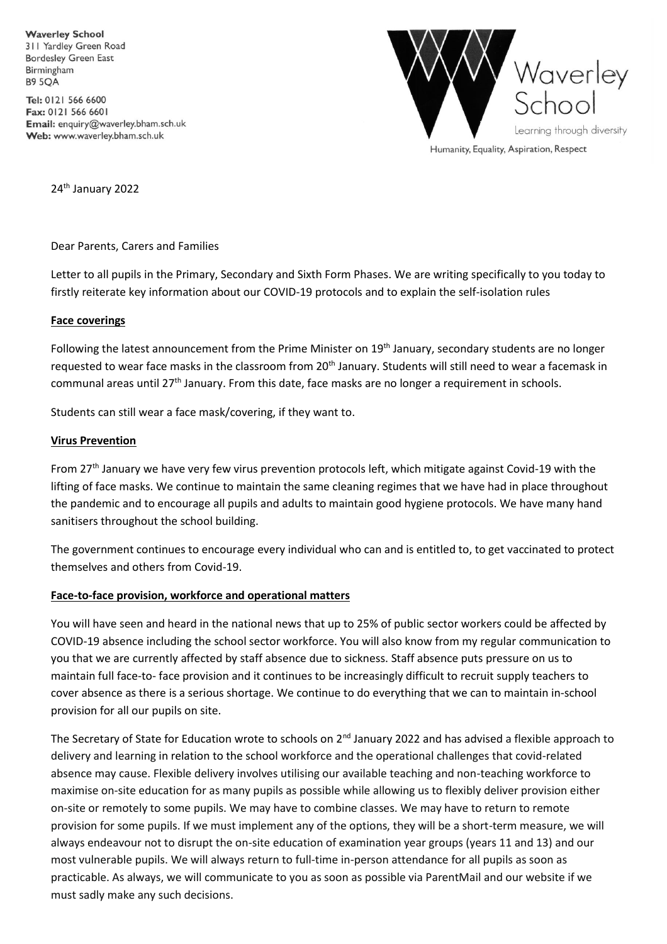**Waverley School** 311 Yardley Green Road **Bordesley Green East** Birmingham **B9 5OA** 

Tel: 0121 566 6600 Fax: 0121 566 6601 Email: enquiry@waverley.bham.sch.uk Web: www.waverley.bham.sch.uk



Humanity, Equality, Aspiration, Respect

24<sup>th</sup> January 2022

Dear Parents, Carers and Families

Letter to all pupils in the Primary, Secondary and Sixth Form Phases. We are writing specifically to you today to firstly reiterate key information about our COVID-19 protocols and to explain the self-isolation rules

### **Face coverings**

Following the latest announcement from the Prime Minister on 19<sup>th</sup> January, secondary students are no longer requested to wear face masks in the classroom from 20<sup>th</sup> January. Students will still need to wear a facemask in communal areas until 27<sup>th</sup> January. From this date, face masks are no longer a requirement in schools.

Students can still wear a face mask/covering, if they want to.

### **Virus Prevention**

From 27<sup>th</sup> January we have very few virus prevention protocols left, which mitigate against Covid-19 with the lifting of face masks. We continue to maintain the same cleaning regimes that we have had in place throughout the pandemic and to encourage all pupils and adults to maintain good hygiene protocols. We have many hand sanitisers throughout the school building.

The government continues to encourage every individual who can and is entitled to, to get vaccinated to protect themselves and others from Covid-19.

#### **Face-to-face provision, workforce and operational matters**

You will have seen and heard in the national news that up to 25% of public sector workers could be affected by COVID-19 absence including the school sector workforce. You will also know from my regular communication to you that we are currently affected by staff absence due to sickness. Staff absence puts pressure on us to maintain full face-to- face provision and it continues to be increasingly difficult to recruit supply teachers to cover absence as there is a serious shortage. We continue to do everything that we can to maintain in-school provision for all our pupils on site.

The Secretary of State for Education wrote to schools on 2<sup>nd</sup> January 2022 and has advised a flexible approach to delivery and learning in relation to the school workforce and the operational challenges that covid-related absence may cause. Flexible delivery involves utilising our available teaching and non-teaching workforce to maximise on-site education for as many pupils as possible while allowing us to flexibly deliver provision either on-site or remotely to some pupils. We may have to combine classes. We may have to return to remote provision for some pupils. If we must implement any of the options, they will be a short-term measure, we will always endeavour not to disrupt the on-site education of examination year groups (years 11 and 13) and our most vulnerable pupils. We will always return to full-time in-person attendance for all pupils as soon as practicable. As always, we will communicate to you as soon as possible via ParentMail and our website if we must sadly make any such decisions.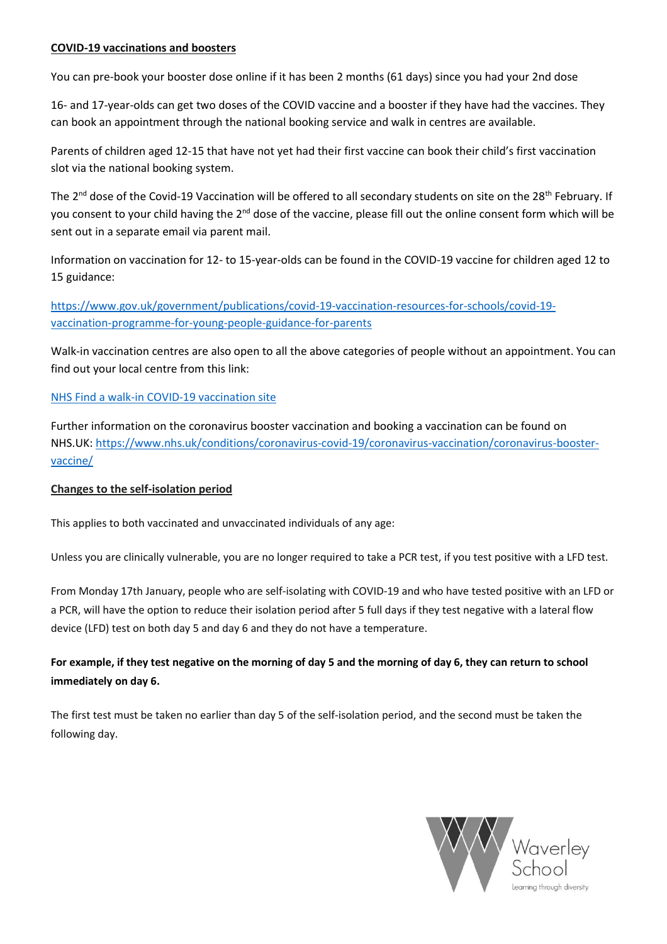## **COVID-19 vaccinations and boosters**

You can pre-book your booster dose online if it has been 2 months (61 days) since you had your 2nd dose

16- and 17-year-olds can get two doses of the COVID vaccine and a booster if they have had the vaccines. They can book an appointment through the national booking service and walk in centres are available.

Parents of children aged 12-15 that have not yet had their first vaccine can book their child's first vaccination slot via the national booking system.

The 2<sup>nd</sup> dose of the Covid-19 Vaccination will be offered to all secondary students on site on the 28<sup>th</sup> February. If you consent to your child having the 2<sup>nd</sup> dose of the vaccine, please fill out the online consent form which will be sent out in a separate email via parent mail.

Information on vaccination for 12- to 15-year-olds can be found in the COVID-19 vaccine for children aged 12 to 15 guidance:

[https://www.gov.uk/government/publications/covid-19-vaccination-resources-for-schools/covid-19](https://www.gov.uk/government/publications/covid-19-vaccination-resources-for-schools/covid-19-vaccination-programme-for-young-people-guidance-for-parents) [vaccination-programme-for-young-people-guidance-for-parents](https://www.gov.uk/government/publications/covid-19-vaccination-resources-for-schools/covid-19-vaccination-programme-for-young-people-guidance-for-parents)

Walk-in vaccination centres are also open to all the above categories of people without an appointment. You can find out your local centre from this link:

## [NHS Find a walk-in COVID-19 vaccination site](https://www.nhs.uk/conditions/coronavirus-covid-19/coronavirus-vaccination/find-a-walk-in-coronavirus-covid-19-vaccination-site/)

Further information on the coronavirus booster vaccination and booking a vaccination can be found on NHS.UK: [https://www.nhs.uk/conditions/coronavirus-covid-19/coronavirus-vaccination/coronavirus-booster](https://www.nhs.uk/conditions/coronavirus-covid-19/coronavirus-vaccination/coronavirus-booster-vaccine/)[vaccine/](https://www.nhs.uk/conditions/coronavirus-covid-19/coronavirus-vaccination/coronavirus-booster-vaccine/) 

## **Changes to the self-isolation period**

This applies to both vaccinated and unvaccinated individuals of any age:

Unless you are clinically vulnerable, you are no longer required to take a PCR test, if you test positive with a LFD test.

From Monday 17th January, people who are self-isolating with COVID-19 and who have tested positive with an LFD or a PCR, will have the option to reduce their isolation period after 5 full days if they test negative with a lateral flow device (LFD) test on both day 5 and day 6 and they do not have a temperature.

# For example, if they test negative on the morning of day 5 and the morning of day 6, they can return to school **immediately on day 6.**

The first test must be taken no earlier than day 5 of the self-isolation period, and the second must be taken the following day.